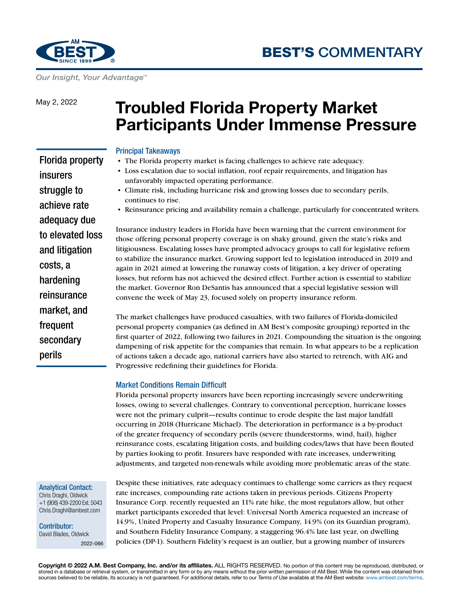



*Our Insight, Your Advantage™*

May 2, 2022

# **Troubled Florida Property Market Participants Under Immense Pressure**

## Principal Takeaways

- The Florida property market is facing challenges to achieve rate adequacy.
- Loss escalation due to social inflation, roof repair requirements, and litigation has unfavorably impacted operating performance.
- Climate risk, including hurricane risk and growing losses due to secondary perils, continues to rise.
- Reinsurance pricing and availability remain a challenge, particularly for concentrated writers.

Insurance industry leaders in Florida have been warning that the current environment for those offering personal property coverage is on shaky ground, given the state's risks and litigiousness. Escalating losses have prompted advocacy groups to call for legislative reform to stabilize the insurance market. Growing support led to legislation introduced in 2019 and again in 2021 aimed at lowering the runaway costs of litigation, a key driver of operating losses, but reform has not achieved the desired effect. Further action is essential to stabilize the market. Governor Ron DeSantis has announced that a special legislative session will convene the week of May 23, focused solely on property insurance reform.

The market challenges have produced casualties, with two failures of Florida-domiciled personal property companies (as defined in AM Best's composite grouping) reported in the first quarter of 2022, following two failures in 2021. Compounding the situation is the ongoing dampening of risk appetite for the companies that remain. In what appears to be a replication of actions taken a decade ago, national carriers have also started to retrench, with AIG and Progressive redefining their guidelines for Florida.

#### Market Conditions Remain Difficult

Florida personal property insurers have been reporting increasingly severe underwriting losses, owing to several challenges. Contrary to conventional perception, hurricane losses were not the primary culprit—results continue to erode despite the last major landfall occurring in 2018 (Hurricane Michael). The deterioration in performance is a by-product of the greater frequency of secondary perils (severe thunderstorms, wind, hail), higher reinsurance costs, escalating litigation costs, and building codes/laws that have been flouted by parties looking to profit. Insurers have responded with rate increases, underwriting adjustments, and targeted non-renewals while avoiding more problematic areas of the state.

#### Analytical Contact:

perils

Chris Draghi, Oldwick +1 (908) 439-2200 Ext. 5043 [Chris.Draghi@ambest.com](mailto:Chris.Draghi@ambest.com)

Contributor: David Blades, Oldwick 2022-066 Despite these initiatives, rate adequacy continues to challenge some carriers as they request rate increases, compounding rate actions taken in previous periods. Citizens Property Insurance Corp. recently requested an 11% rate hike, the most regulators allow, but other market participants exceeded that level: Universal North America requested an increase of 14.9%, United Property and Casualty Insurance Company, 14.9% (on its Guardian program), and Southern Fidelity Insurance Company, a staggering 96.4% late last year, on dwelling policies (DP-1). Southern Fidelity's request is an outlier, but a growing number of insurers

Florida property insurers struggle to achieve rate adequacy due to elevated loss and litigation costs, a hardening reinsurance market, and frequent secondary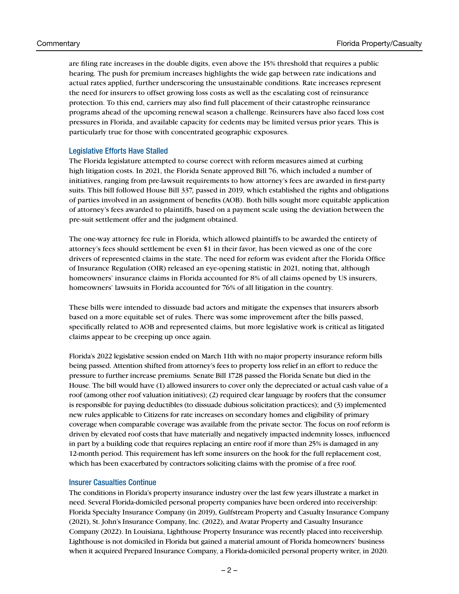are filing rate increases in the double digits, even above the 15% threshold that requires a public hearing. The push for premium increases highlights the wide gap between rate indications and actual rates applied, further underscoring the unsustainable conditions. Rate increases represent the need for insurers to offset growing loss costs as well as the escalating cost of reinsurance protection. To this end, carriers may also find full placement of their catastrophe reinsurance programs ahead of the upcoming renewal season a challenge. Reinsurers have also faced loss cost pressures in Florida, and available capacity for cedents may be limited versus prior years. This is particularly true for those with concentrated geographic exposures.

#### Legislative Efforts Have Stalled

The Florida legislature attempted to course correct with reform measures aimed at curbing high litigation costs. In 2021, the Florida Senate approved Bill 76, which included a number of initiatives, ranging from pre-lawsuit requirements to how attorney's fees are awarded in first-party suits. This bill followed House Bill 337, passed in 2019, which established the rights and obligations of parties involved in an assignment of benefits (AOB). Both bills sought more equitable application of attorney's fees awarded to plaintiffs, based on a payment scale using the deviation between the pre-suit settlement offer and the judgment obtained.

The one-way attorney fee rule in Florida, which allowed plaintiffs to be awarded the entirety of attorney's fees should settlement be even \$1 in their favor, has been viewed as one of the core drivers of represented claims in the state. The need for reform was evident after the Florida Office of Insurance Regulation (OIR) released an eye-opening statistic in 2021, noting that, although homeowners' insurance claims in Florida accounted for 8% of all claims opened by US insurers, homeowners' lawsuits in Florida accounted for 76% of all litigation in the country.

These bills were intended to dissuade bad actors and mitigate the expenses that insurers absorb based on a more equitable set of rules. There was some improvement after the bills passed, specifically related to AOB and represented claims, but more legislative work is critical as litigated claims appear to be creeping up once again.

Florida's 2022 legislative session ended on March 11th with no major property insurance reform bills being passed. Attention shifted from attorney's fees to property loss relief in an effort to reduce the pressure to further increase premiums. Senate Bill 1728 passed the Florida Senate but died in the House. The bill would have (1) allowed insurers to cover only the depreciated or actual cash value of a roof (among other roof valuation initiatives); (2) required clear language by roofers that the consumer is responsible for paying deductibles (to dissuade dubious solicitation practices); and (3) implemented new rules applicable to Citizens for rate increases on secondary homes and eligibility of primary coverage when comparable coverage was available from the private sector. The focus on roof reform is driven by elevated roof costs that have materially and negatively impacted indemnity losses, influenced in part by a building code that requires replacing an entire roof if more than 25% is damaged in any 12-month period. This requirement has left some insurers on the hook for the full replacement cost, which has been exacerbated by contractors soliciting claims with the promise of a free roof.

#### Insurer Casualties Continue

The conditions in Florida's property insurance industry over the last few years illustrate a market in need. Several Florida-domiciled personal property companies have been ordered into receivership: Florida Specialty Insurance Company (in 2019), Gulfstream Property and Casualty Insurance Company (2021), St. John's Insurance Company, Inc. (2022), and Avatar Property and Casualty Insurance Company (2022). In Louisiana, Lighthouse Property Insurance was recently placed into receivership. Lighthouse is not domiciled in Florida but gained a material amount of Florida homeowners' business when it acquired Prepared Insurance Company, a Florida-domiciled personal property writer, in 2020.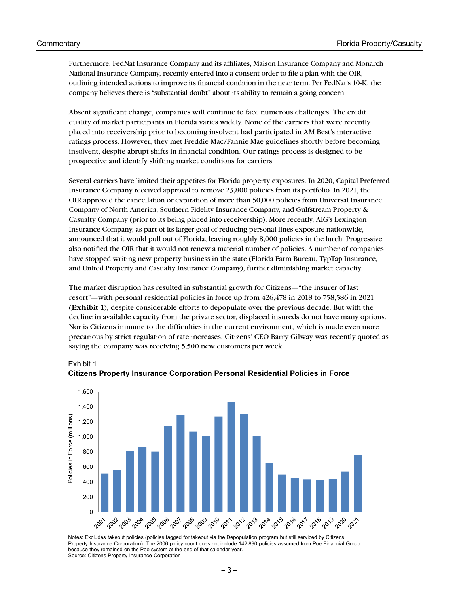Exhibit 1

Furthermore, FedNat Insurance Company and its affiliates, Maison Insurance Company and Monarch National Insurance Company, recently entered into a consent order to file a plan with the OIR, outlining intended actions to improve its financial condition in the near term. Per FedNat's 10-K, the company believes there is "substantial doubt" about its ability to remain a going concern.

Absent significant change, companies will continue to face numerous challenges. The credit quality of market participants in Florida varies widely. None of the carriers that were recently placed into receivership prior to becoming insolvent had participated in AM Best's interactive ratings process. However, they met Freddie Mac/Fannie Mae guidelines shortly before becoming insolvent, despite abrupt shifts in financial condition. Our ratings process is designed to be prospective and identify shifting market conditions for carriers.

Several carriers have limited their appetites for Florida property exposures. In 2020, Capital Preferred Insurance Company received approval to remove 23,800 policies from its portfolio. In 2021, the OIR approved the cancellation or expiration of more than 50,000 policies from Universal Insurance Company of North America, Southern Fidelity Insurance Company, and Gulfstream Property & Casualty Company (prior to its being placed into receivership). More recently, AIG's Lexington Insurance Company, as part of its larger goal of reducing personal lines exposure nationwide, announced that it would pull out of Florida, leaving roughly 8,000 policies in the lurch. Progressive also notified the OIR that it would not renew a material number of policies. A number of companies have stopped writing new property business in the state (Florida Farm Bureau, TypTap Insurance, and United Property and Casualty Insurance Company), further diminishing market capacity.

The market disruption has resulted in substantial growth for Citizens—"the insurer of last resort"—with personal residential policies in force up from 426,478 in 2018 to 758,586 in 2021 (**Exhibit 1**), despite considerable efforts to depopulate over the previous decade. But with the decline in available capacity from the private sector, displaced insureds do not have many options. Nor is Citizens immune to the difficulties in the current environment, which is made even more precarious by strict regulation of rate increases. Citizens' CEO Barry Gilway was recently quoted as saying the company was receiving 5,500 new customers per week.



**Citizens Property Insurance Corporation Personal Residential Policies in Force**

Notes: Excludes takeout policies (policies tagged for takeout via the Depopulation program but still serviced by Citizens Property Insurance Corporation). The 2006 policy count does not include 142,890 policies assumed from Poe Financial Group because they remained on the Poe system at the end of that calendar year. Source: Citizens Property Insurance Corporation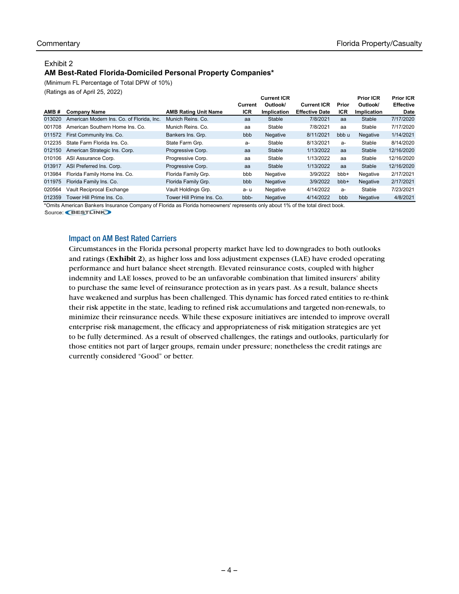### Exhibit 2

## **AM Best-Rated Florida-Domiciled Personal Property Companies\***

(Minimum FL Percentage of Total DPW of 10%)

(Ratings as of April 25, 2022)

|        |                                           |                             |            | <b>Current ICR</b> |                       |            | <b>Prior ICR</b>   | <b>Prior ICR</b> |
|--------|-------------------------------------------|-----------------------------|------------|--------------------|-----------------------|------------|--------------------|------------------|
|        |                                           |                             | Current    | Outlook/           | <b>Current ICR</b>    | Prior      | Outlook/           | <b>Effective</b> |
| AMB#   | <b>Company Name</b>                       | <b>AMB Rating Unit Name</b> | <b>ICR</b> | <b>Implication</b> | <b>Effective Date</b> | <b>ICR</b> | <b>Implication</b> | Date             |
| 013020 | American Modern Ins. Co. of Florida, Inc. | Munich Reins, Co.           | aa         | Stable             | 7/8/2021              | aa         | Stable             | 7/17/2020        |
| 001708 | American Southern Home Ins. Co.           | Munich Reins, Co.           | aa         | Stable             | 7/8/2021              | aa         | Stable             | 7/17/2020        |
| 011572 | First Community Ins. Co.                  | Bankers Ins. Grp.           | bbb        | Negative           | 8/11/2021             | bbb u      | Negative           | 1/14/2021        |
| 012235 | State Farm Florida Ins. Co.               | State Farm Grp.             | а-         | Stable             | 8/13/2021             | $a-$       | Stable             | 8/14/2020        |
| 012150 | American Strategic Ins. Corp.             | Progressive Corp.           | aa         | Stable             | 1/13/2022             | aa         | Stable             | 12/16/2020       |
| 010106 | ASI Assurance Corp.                       | Progressive Corp.           | aa         | Stable             | 1/13/2022             | aa         | Stable             | 12/16/2020       |
| 013917 | ASI Preferred Ins. Corp.                  | Progressive Corp.           | aa         | Stable             | 1/13/2022             | aa         | Stable             | 12/16/2020       |
| 013984 | Florida Family Home Ins. Co.              | Florida Family Grp.         | bbb        | Negative           | 3/9/2022              | bbb+       | Negative           | 2/17/2021        |
| 011975 | Florida Family Ins. Co.                   | Florida Family Grp.         | bbb        | Negative           | 3/9/2022              | bbb+       | Negative           | 2/17/2021        |
| 020564 | Vault Reciprocal Exchange                 | Vault Holdings Grp.         | a-u        | Negative           | 4/14/2022             | $a-$       | Stable             | 7/23/2021        |
| 012359 | Tower Hill Prime Ins. Co.                 | Tower Hill Prime Ins. Co.   | bbb-       | Negative           | 4/14/2022             | bbb        | <b>Negative</b>    | 4/8/2021         |

\*Omits American Bankers Insurance Company of Florida as Florida homeowners' represents only about 1% of the total direct book.

Source: BESTLINK

## Impact on AM Best Rated Carriers

Circumstances in the Florida personal property market have led to downgrades to both outlooks and ratings (**Exhibit 2**), as higher loss and loss adjustment expenses (LAE) have eroded operating performance and hurt balance sheet strength. Elevated reinsurance costs, coupled with higher indemnity and LAE losses, proved to be an unfavorable combination that limited insurers' ability to purchase the same level of reinsurance protection as in years past. As a result, balance sheets have weakened and surplus has been challenged. This dynamic has forced rated entities to re-think their risk appetite in the state, leading to refined risk accumulations and targeted non-renewals, to minimize their reinsurance needs. While these exposure initiatives are intended to improve overall enterprise risk management, the efficacy and appropriateness of risk mitigation strategies are yet to be fully determined. As a result of observed challenges, the ratings and outlooks, particularly for those entities not part of larger groups, remain under pressure; nonetheless the credit ratings are currently considered "Good" or better.